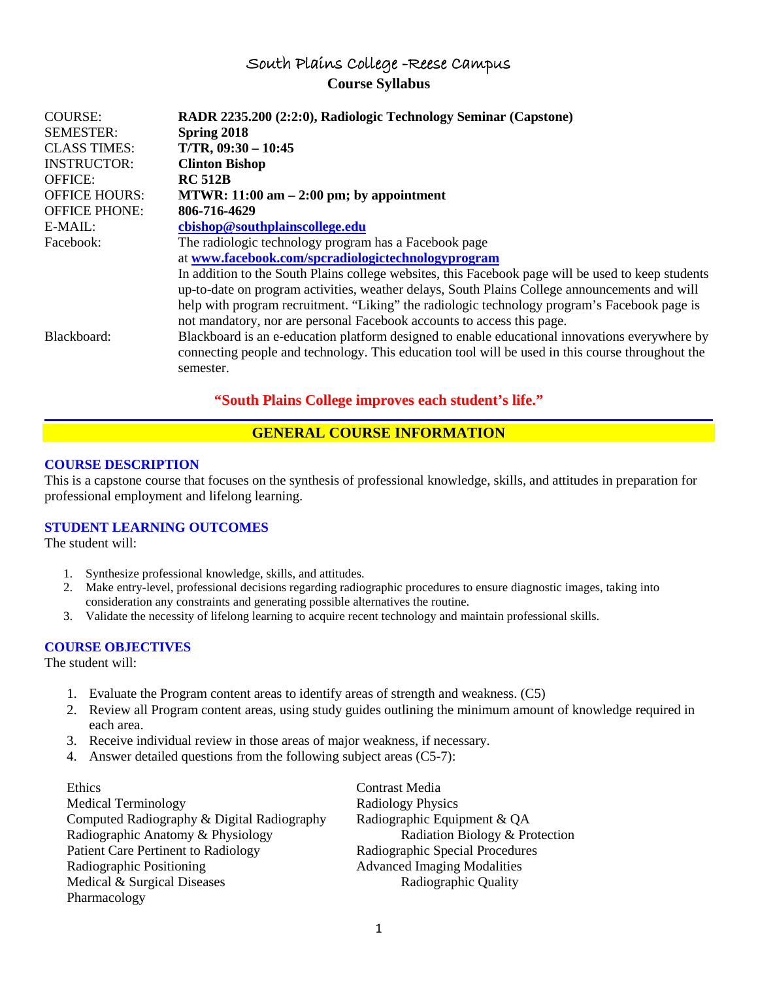# South Plains College -Reese Campus **Course Syllabus**

| <b>COURSE:</b><br><b>SEMESTER:</b><br><b>CLASS TIMES:</b> | RADR 2235.200 (2:2:0), Radiologic Technology Seminar (Capstone)<br>Spring 2018<br>$T/TR$ , 09:30 - 10:45                                                                                                                                                                                                                                                                      |
|-----------------------------------------------------------|-------------------------------------------------------------------------------------------------------------------------------------------------------------------------------------------------------------------------------------------------------------------------------------------------------------------------------------------------------------------------------|
| <b>INSTRUCTOR:</b>                                        | <b>Clinton Bishop</b>                                                                                                                                                                                                                                                                                                                                                         |
| <b>OFFICE:</b>                                            | <b>RC 512B</b>                                                                                                                                                                                                                                                                                                                                                                |
| <b>OFFICE HOURS:</b>                                      | MTWR: $11:00$ am $-2:00$ pm; by appointment                                                                                                                                                                                                                                                                                                                                   |
| <b>OFFICE PHONE:</b>                                      | 806-716-4629                                                                                                                                                                                                                                                                                                                                                                  |
| $E-MAIL:$                                                 | cbishop@southplainscollege.edu                                                                                                                                                                                                                                                                                                                                                |
| Facebook:                                                 | The radiologic technology program has a Facebook page                                                                                                                                                                                                                                                                                                                         |
|                                                           | at www.facebook.com/spcradiologictechnologyprogram                                                                                                                                                                                                                                                                                                                            |
|                                                           | In addition to the South Plains college websites, this Facebook page will be used to keep students<br>up-to-date on program activities, weather delays, South Plains College announcements and will<br>help with program recruitment. "Liking" the radiologic technology program's Facebook page is<br>not mandatory, nor are personal Facebook accounts to access this page. |
| Blackboard:                                               | Blackboard is an e-education platform designed to enable educational innovations everywhere by<br>connecting people and technology. This education tool will be used in this course throughout the<br>semester.                                                                                                                                                               |

# **"South Plains College improves each student's life."**

# **GENERAL COURSE INFORMATION**

# **COURSE DESCRIPTION**

This is a capstone course that focuses on the synthesis of professional knowledge, skills, and attitudes in preparation for professional employment and lifelong learning.

# **STUDENT LEARNING OUTCOMES**

The student will:

- 1. Synthesize professional knowledge, skills, and attitudes.
- 2. Make entry-level, professional decisions regarding radiographic procedures to ensure diagnostic images, taking into consideration any constraints and generating possible alternatives the routine.
- 3. Validate the necessity of lifelong learning to acquire recent technology and maintain professional skills.

# **COURSE OBJECTIVES**

The student will:

- 1. Evaluate the Program content areas to identify areas of strength and weakness. (C5)
- 2. Review all Program content areas, using study guides outlining the minimum amount of knowledge required in each area.
- 3. Receive individual review in those areas of major weakness, if necessary.
- 4. Answer detailed questions from the following subject areas (C5-7):

Ethics Contrast Media Medical Terminology **Radiology Physics** Computed Radiography & Digital Radiography Radiographic Equipment & QA Radiographic Anatomy & Physiology Radiation Biology & Protection Patient Care Pertinent to Radiology Radiographic Special Procedures Radiographic Positioning Advanced Imaging Modalities Medical & Surgical Diseases Radiographic Quality Pharmacology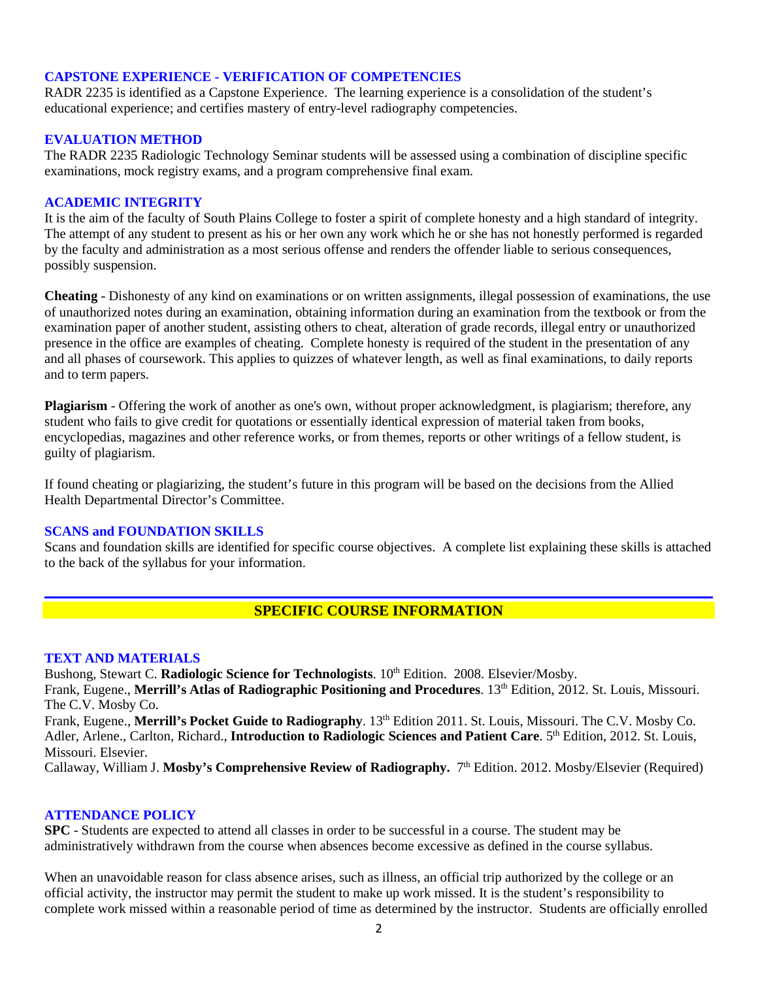# **CAPSTONE EXPERIENCE - VERIFICATION OF COMPETENCIES**

RADR 2235 is identified as a Capstone Experience. The learning experience is a consolidation of the student's educational experience; and certifies mastery of entry-level radiography competencies.

## **EVALUATION METHOD**

The RADR 2235 Radiologic Technology Seminar students will be assessed using a combination of discipline specific examinations, mock registry exams, and a program comprehensive final exam.

## **ACADEMIC INTEGRITY**

It is the aim of the faculty of South Plains College to foster a spirit of complete honesty and a high standard of integrity. The attempt of any student to present as his or her own any work which he or she has not honestly performed is regarded by the faculty and administration as a most serious offense and renders the offender liable to serious consequences, possibly suspension.

**Cheating** - Dishonesty of any kind on examinations or on written assignments, illegal possession of examinations, the use of unauthorized notes during an examination, obtaining information during an examination from the textbook or from the examination paper of another student, assisting others to cheat, alteration of grade records, illegal entry or unauthorized presence in the office are examples of cheating. Complete honesty is required of the student in the presentation of any and all phases of coursework. This applies to quizzes of whatever length, as well as final examinations, to daily reports and to term papers.

**Plagiarism** - Offering the work of another as one's own, without proper acknowledgment, is plagiarism; therefore, any student who fails to give credit for quotations or essentially identical expression of material taken from books, encyclopedias, magazines and other reference works, or from themes, reports or other writings of a fellow student, is guilty of plagiarism.

If found cheating or plagiarizing, the student's future in this program will be based on the decisions from the Allied Health Departmental Director's Committee.

## **SCANS and FOUNDATION SKILLS**

Scans and foundation skills are identified for specific course objectives. A complete list explaining these skills is attached to the back of the syllabus for your information.

# **SPECIFIC COURSE INFORMATION**

### **TEXT AND MATERIALS**

Bushong, Stewart C. Radiologic Science for Technologists.  $10^{th}$  Edition. 2008. Elsevier/Mosby.

Frank, Eugene., Merrill's Atlas of Radiographic Positioning and Procedures. 13<sup>th</sup> Edition, 2012. St. Louis, Missouri. The C.V. Mosby Co.

Frank, Eugene., Merrill's Pocket Guide to Radiography. 13<sup>th</sup> Edition 2011. St. Louis, Missouri. The C.V. Mosby Co. Adler, Arlene., Carlton, Richard., **Introduction to Radiologic Sciences and Patient Care**. 5<sup>th</sup> Edition, 2012. St. Louis, Missouri. Elsevier.

Callaway, William J. Mosby's Comprehensive Review of Radiography. 7<sup>th</sup> Edition. 2012. Mosby/Elsevier (Required)

## **ATTENDANCE POLICY**

**SPC** - Students are expected to attend all classes in order to be successful in a course. The student may be administratively withdrawn from the course when absences become excessive as defined in the course syllabus.

When an unavoidable reason for class absence arises, such as illness, an official trip authorized by the college or an official activity, the instructor may permit the student to make up work missed. It is the student's responsibility to complete work missed within a reasonable period of time as determined by the instructor. Students are officially enrolled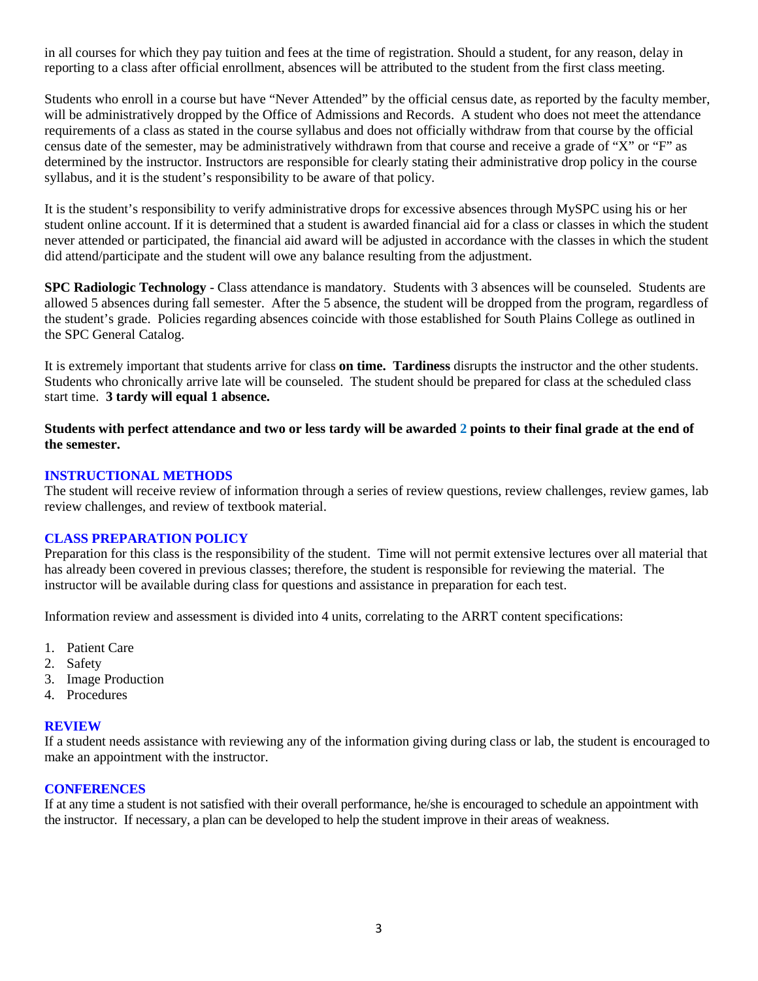in all courses for which they pay tuition and fees at the time of registration. Should a student, for any reason, delay in reporting to a class after official enrollment, absences will be attributed to the student from the first class meeting.

Students who enroll in a course but have "Never Attended" by the official census date, as reported by the faculty member, will be administratively dropped by the Office of Admissions and Records. A student who does not meet the attendance requirements of a class as stated in the course syllabus and does not officially withdraw from that course by the official census date of the semester, may be administratively withdrawn from that course and receive a grade of "X" or "F" as determined by the instructor. Instructors are responsible for clearly stating their administrative drop policy in the course syllabus, and it is the student's responsibility to be aware of that policy.

It is the student's responsibility to verify administrative drops for excessive absences through MySPC using his or her student online account. If it is determined that a student is awarded financial aid for a class or classes in which the student never attended or participated, the financial aid award will be adjusted in accordance with the classes in which the student did attend/participate and the student will owe any balance resulting from the adjustment.

**SPC Radiologic Technology** - Class attendance is mandatory. Students with 3 absences will be counseled. Students are allowed 5 absences during fall semester. After the 5 absence, the student will be dropped from the program, regardless of the student's grade. Policies regarding absences coincide with those established for South Plains College as outlined in the SPC General Catalog.

It is extremely important that students arrive for class **on time. Tardiness** disrupts the instructor and the other students. Students who chronically arrive late will be counseled. The student should be prepared for class at the scheduled class start time. **3 tardy will equal 1 absence.**

**Students with perfect attendance and two or less tardy will be awarded 2 points to their final grade at the end of the semester.**

# **INSTRUCTIONAL METHODS**

The student will receive review of information through a series of review questions, review challenges, review games, lab review challenges, and review of textbook material.

# **CLASS PREPARATION POLICY**

Preparation for this class is the responsibility of the student. Time will not permit extensive lectures over all material that has already been covered in previous classes; therefore, the student is responsible for reviewing the material. The instructor will be available during class for questions and assistance in preparation for each test.

Information review and assessment is divided into 4 units, correlating to the ARRT content specifications:

- 1. Patient Care
- 2. Safety
- 3. Image Production
- 4. Procedures

## **REVIEW**

If a student needs assistance with reviewing any of the information giving during class or lab, the student is encouraged to make an appointment with the instructor.

## **CONFERENCES**

If at any time a student is not satisfied with their overall performance, he/she is encouraged to schedule an appointment with the instructor. If necessary, a plan can be developed to help the student improve in their areas of weakness.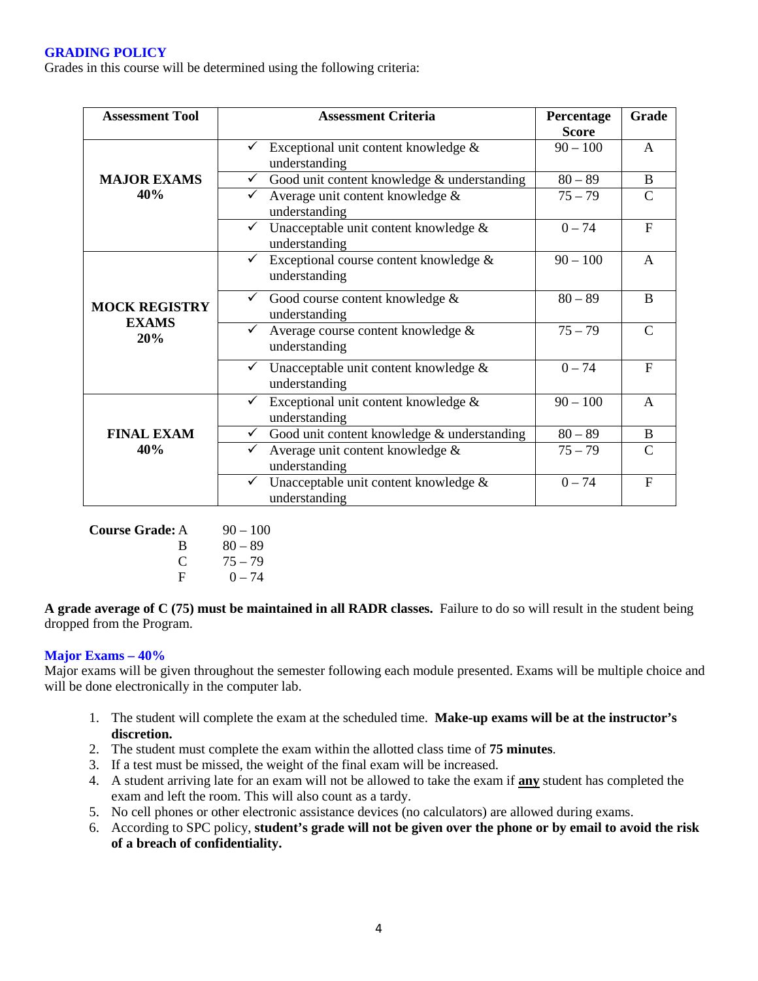# **GRADING POLICY**

Grades in this course will be determined using the following criteria:

| <b>Assessment Tool</b>               | <b>Assessment Criteria</b>                                        | Percentage<br><b>Score</b> | Grade         |
|--------------------------------------|-------------------------------------------------------------------|----------------------------|---------------|
|                                      | Exceptional unit content knowledge &<br>understanding             | $90 - 100$                 | A             |
| <b>MAJOR EXAMS</b>                   | Good unit content knowledge & understanding<br>$\checkmark$       | $80 - 89$                  | B             |
| 40%                                  | Average unit content knowledge &<br>$\checkmark$<br>understanding | $75 - 79$                  | $\mathcal{C}$ |
|                                      | Unacceptable unit content knowledge &<br>✓<br>understanding       | $0 - 74$                   | $\mathbf{F}$  |
|                                      | Exceptional course content knowledge &<br>✓<br>understanding      | $90 - 100$                 | A             |
| <b>MOCK REGISTRY</b><br><b>EXAMS</b> | Good course content knowledge &<br>$\checkmark$<br>understanding  | $80 - 89$                  | B             |
| 20%                                  | Average course content knowledge &<br>understanding               | $75 - 79$                  | $\mathcal{C}$ |
|                                      | Unacceptable unit content knowledge &<br>understanding            | $0 - 74$                   | $F_{\rm}$     |
|                                      | Exceptional unit content knowledge &<br>✓<br>understanding        | $90 - 100$                 | $\mathsf{A}$  |
| <b>FINAL EXAM</b>                    | Good unit content knowledge & understanding<br>$\checkmark$       | $80 - 89$                  | <sub>B</sub>  |
| 40%                                  | Average unit content knowledge &<br>understanding                 | $75 - 79$                  | $\mathcal{C}$ |
|                                      | Unacceptable unit content knowledge &<br>✓<br>understanding       | $0 - 74$                   | $\mathbf{F}$  |

| <b>Course Grade:</b> A | $90 - 100$ |
|------------------------|------------|
| R                      | $80 - 89$  |
| $\Gamma$               | $75 - 79$  |
| F                      | $0 - 74$   |

**A grade average of C (75) must be maintained in all RADR classes.** Failure to do so will result in the student being dropped from the Program.

# **Major Exams – 40%**

Major exams will be given throughout the semester following each module presented. Exams will be multiple choice and will be done electronically in the computer lab.

- 1. The student will complete the exam at the scheduled time. **Make-up exams will be at the instructor's discretion.**
- 2. The student must complete the exam within the allotted class time of **75 minutes**.
- 3. If a test must be missed, the weight of the final exam will be increased.
- 4. A student arriving late for an exam will not be allowed to take the exam if **any** student has completed the exam and left the room. This will also count as a tardy.
- 5. No cell phones or other electronic assistance devices (no calculators) are allowed during exams.
- 6. According to SPC policy, **student's grade will not be given over the phone or by email to avoid the risk of a breach of confidentiality.**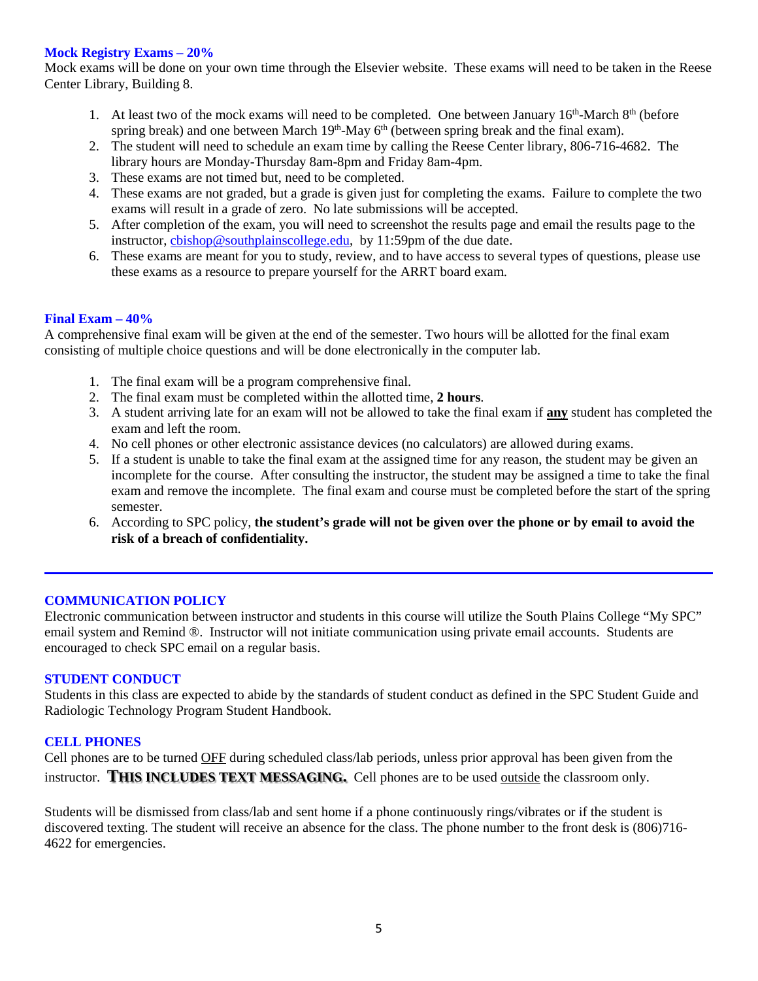## **Mock Registry Exams – 20%**

Mock exams will be done on your own time through the Elsevier website. These exams will need to be taken in the Reese Center Library, Building 8.

- 1. At least two of the mock exams will need to be completed. One between January  $16<sup>th</sup>$ -March  $8<sup>th</sup>$  (before spring break) and one between March 19<sup>th</sup>-May 6<sup>th</sup> (between spring break and the final exam).
- 2. The student will need to schedule an exam time by calling the Reese Center library, 806-716-4682. The library hours are Monday-Thursday 8am-8pm and Friday 8am-4pm.
- 3. These exams are not timed but, need to be completed.
- 4. These exams are not graded, but a grade is given just for completing the exams. Failure to complete the two exams will result in a grade of zero. No late submissions will be accepted.
- 5. After completion of the exam, you will need to screenshot the results page and email the results page to the instructor, chishop@southplainscollege.edu, by 11:59pm of the due date.
- 6. These exams are meant for you to study, review, and to have access to several types of questions, please use these exams as a resource to prepare yourself for the ARRT board exam.

# **Final Exam – 40%**

A comprehensive final exam will be given at the end of the semester. Two hours will be allotted for the final exam consisting of multiple choice questions and will be done electronically in the computer lab.

- 1. The final exam will be a program comprehensive final.
- 2. The final exam must be completed within the allotted time, **2 hours**.
- 3. A student arriving late for an exam will not be allowed to take the final exam if **any** student has completed the exam and left the room.
- 4. No cell phones or other electronic assistance devices (no calculators) are allowed during exams.
- 5. If a student is unable to take the final exam at the assigned time for any reason, the student may be given an incomplete for the course. After consulting the instructor, the student may be assigned a time to take the final exam and remove the incomplete. The final exam and course must be completed before the start of the spring semester.
- 6. According to SPC policy, **the student's grade will not be given over the phone or by email to avoid the risk of a breach of confidentiality.**

## **COMMUNICATION POLICY**

Electronic communication between instructor and students in this course will utilize the South Plains College "My SPC" email system and Remind ®. Instructor will not initiate communication using private email accounts. Students are encouraged to check SPC email on a regular basis.

## **STUDENT CONDUCT**

Students in this class are expected to abide by the standards of student conduct as defined in the SPC Student Guide and Radiologic Technology Program Student Handbook.

# **CELL PHONES**

Cell phones are to be turned OFF during scheduled class/lab periods, unless prior approval has been given from the instructor. **THIS INCLUDES TEXT MESSAGING.** Cell phones are to be used outside the classroom only.

Students will be dismissed from class/lab and sent home if a phone continuously rings/vibrates or if the student is discovered texting. The student will receive an absence for the class. The phone number to the front desk is (806)716- 4622 for emergencies.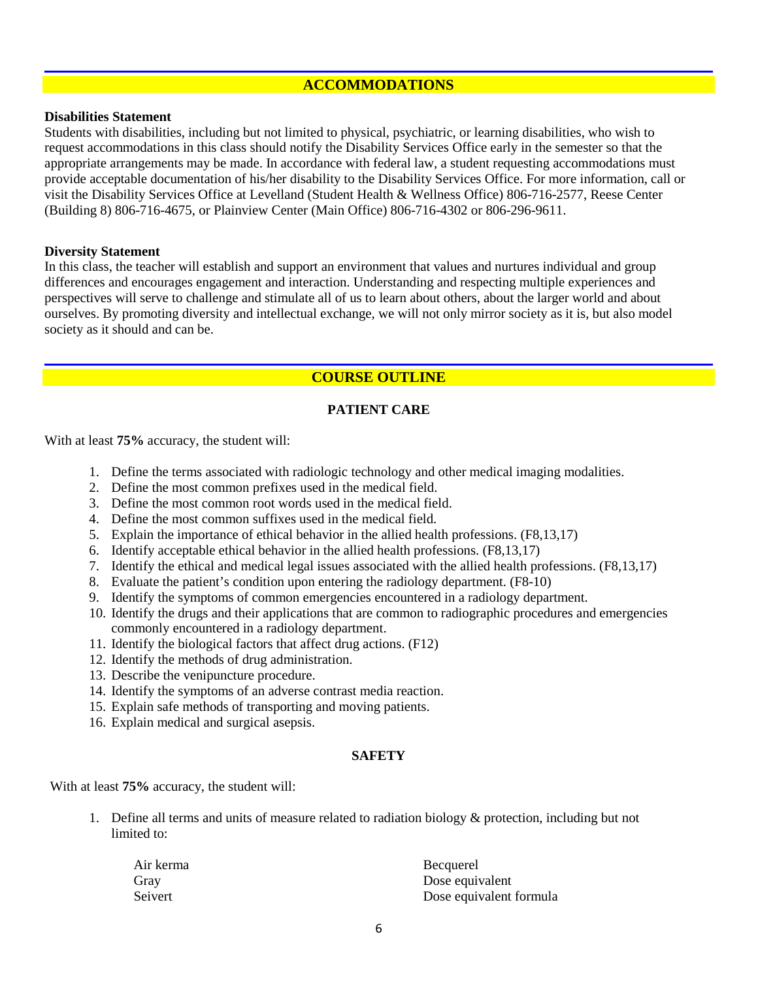# **ACCOMMODATIONS**

## **Disabilities Statement**

Students with disabilities, including but not limited to physical, psychiatric, or learning disabilities, who wish to request accommodations in this class should notify the Disability Services Office early in the semester so that the appropriate arrangements may be made. In accordance with federal law, a student requesting accommodations must provide acceptable documentation of his/her disability to the Disability Services Office. For more information, call or visit the Disability Services Office at Levelland (Student Health & Wellness Office) 806-716-2577, Reese Center (Building 8) 806-716-4675, or Plainview Center (Main Office) 806-716-4302 or 806-296-9611.

### **Diversity Statement**

In this class, the teacher will establish and support an environment that values and nurtures individual and group differences and encourages engagement and interaction. Understanding and respecting multiple experiences and perspectives will serve to challenge and stimulate all of us to learn about others, about the larger world and about ourselves. By promoting diversity and intellectual exchange, we will not only mirror society as it is, but also model society as it should and can be.

# **COURSE OUTLINE**

# **PATIENT CARE**

With at least **75%** accuracy, the student will:

- 1. Define the terms associated with radiologic technology and other medical imaging modalities.
- 2. Define the most common prefixes used in the medical field.
- 3. Define the most common root words used in the medical field.
- 4. Define the most common suffixes used in the medical field.
- 5. Explain the importance of ethical behavior in the allied health professions. (F8,13,17)
- 6. Identify acceptable ethical behavior in the allied health professions. (F8,13,17)
- 7. Identify the ethical and medical legal issues associated with the allied health professions. (F8,13,17)
- 8. Evaluate the patient's condition upon entering the radiology department. (F8-10)
- 9. Identify the symptoms of common emergencies encountered in a radiology department.
- 10. Identify the drugs and their applications that are common to radiographic procedures and emergencies commonly encountered in a radiology department.
- 11. Identify the biological factors that affect drug actions. (F12)
- 12. Identify the methods of drug administration.
- 13. Describe the venipuncture procedure.
- 14. Identify the symptoms of an adverse contrast media reaction.
- 15. Explain safe methods of transporting and moving patients.
- 16. Explain medical and surgical asepsis.

# **SAFETY**

#### With at least **75%** accuracy, the student will:

1. Define all terms and units of measure related to radiation biology  $\&$  protection, including but not limited to:

| Air kerma | Becquerel               |
|-----------|-------------------------|
| Gray      | Dose equivalent         |
| Seivert   | Dose equivalent formula |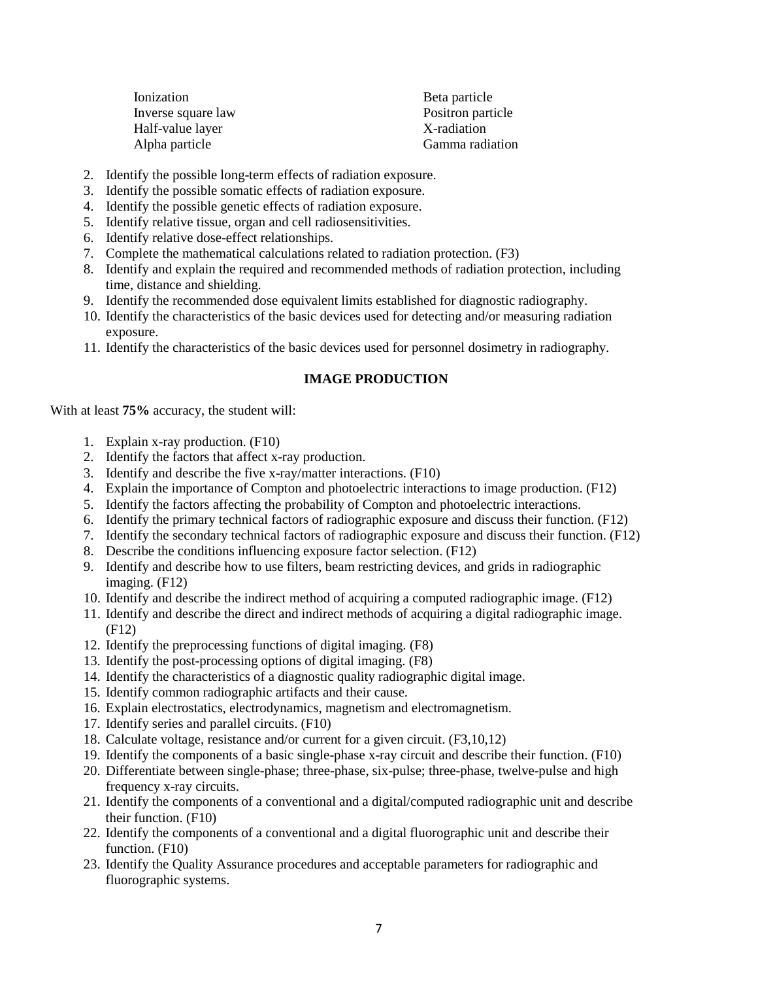| Ionization         | Beta particle     |
|--------------------|-------------------|
| Inverse square law | Positron particle |
| Half-value layer   | X-radiation       |
| Alpha particle     | Gamma radiation   |
|                    |                   |

- 2. Identify the possible long-term effects of radiation exposure.
- 3. Identify the possible somatic effects of radiation exposure.
- 4. Identify the possible genetic effects of radiation exposure.
- 5. Identify relative tissue, organ and cell radiosensitivities.
- 6. Identify relative dose-effect relationships.
- 7. Complete the mathematical calculations related to radiation protection. (F3)
- 8. Identify and explain the required and recommended methods of radiation protection, including time, distance and shielding.
- 9. Identify the recommended dose equivalent limits established for diagnostic radiography.
- 10. Identify the characteristics of the basic devices used for detecting and/or measuring radiation exposure.
- 11. Identify the characteristics of the basic devices used for personnel dosimetry in radiography.

# **IMAGE PRODUCTION**

With at least **75%** accuracy, the student will:

- 1. Explain x-ray production. (F10)
- 2. Identify the factors that affect x-ray production.
- 3. Identify and describe the five x-ray/matter interactions. (F10)
- 4. Explain the importance of Compton and photoelectric interactions to image production. (F12)
- 5. Identify the factors affecting the probability of Compton and photoelectric interactions.
- 6. Identify the primary technical factors of radiographic exposure and discuss their function. (F12)
- 7. Identify the secondary technical factors of radiographic exposure and discuss their function. (F12)
- 8. Describe the conditions influencing exposure factor selection. (F12)
- 9. Identify and describe how to use filters, beam restricting devices, and grids in radiographic imaging. (F12)
- 10. Identify and describe the indirect method of acquiring a computed radiographic image. (F12)
- 11. Identify and describe the direct and indirect methods of acquiring a digital radiographic image. (F12)
- 12. Identify the preprocessing functions of digital imaging. (F8)
- 13. Identify the post-processing options of digital imaging. (F8)
- 14. Identify the characteristics of a diagnostic quality radiographic digital image.
- 15. Identify common radiographic artifacts and their cause.
- 16. Explain electrostatics, electrodynamics, magnetism and electromagnetism.
- 17. Identify series and parallel circuits. (F10)
- 18. Calculate voltage, resistance and/or current for a given circuit. (F3,10,12)
- 19. Identify the components of a basic single-phase x-ray circuit and describe their function. (F10)
- 20. Differentiate between single-phase; three-phase, six-pulse; three-phase, twelve-pulse and high frequency x-ray circuits.
- 21. Identify the components of a conventional and a digital/computed radiographic unit and describe their function. (F10)
- 22. Identify the components of a conventional and a digital fluorographic unit and describe their function. (F10)
- 23. Identify the Quality Assurance procedures and acceptable parameters for radiographic and fluorographic systems.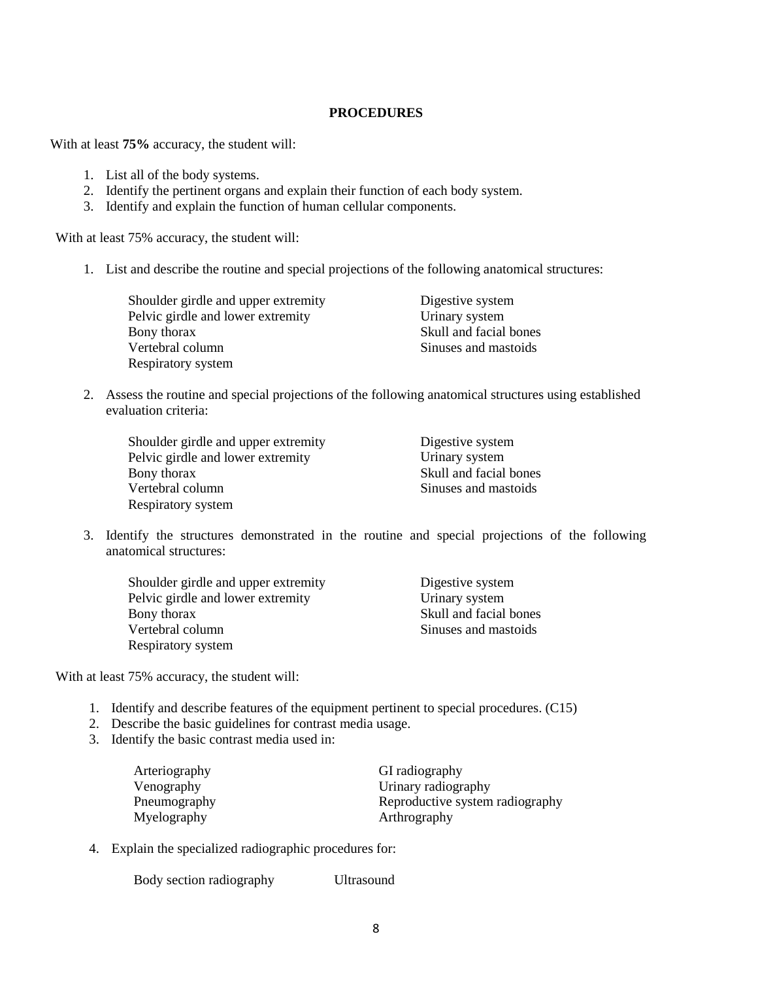## **PROCEDURES**

With at least **75%** accuracy, the student will:

- 1. List all of the body systems.
- 2. Identify the pertinent organs and explain their function of each body system.
- 3. Identify and explain the function of human cellular components.

With at least 75% accuracy, the student will:

1. List and describe the routine and special projections of the following anatomical structures:

| Shoulder girdle and upper extremity | Digestive system       |
|-------------------------------------|------------------------|
| Pelvic girdle and lower extremity   | Urinary system         |
| Bony thorax                         | Skull and facial bones |
| Vertebral column                    | Sinuses and mastoids   |
| Respiratory system                  |                        |

2. Assess the routine and special projections of the following anatomical structures using established evaluation criteria:

| Shoulder girdle and upper extremity | Digestive system       |
|-------------------------------------|------------------------|
| Pelvic girdle and lower extremity   | Urinary system         |
| Bony thorax                         | Skull and facial bones |
| Vertebral column                    | Sinuses and mastoids   |
| Respiratory system                  |                        |

3. Identify the structures demonstrated in the routine and special projections of the following anatomical structures:

| Shoulder girdle and upper extremity | Digestive system       |
|-------------------------------------|------------------------|
| Pelvic girdle and lower extremity   | Urinary system         |
| Bony thorax                         | Skull and facial bones |
| Vertebral column                    | Sinuses and mastoids   |
| Respiratory system                  |                        |

With at least 75% accuracy, the student will:

- 1. Identify and describe features of the equipment pertinent to special procedures. (C15)
- 2. Describe the basic guidelines for contrast media usage.
- 3. Identify the basic contrast media used in:

| Arteriography | GI radiography                  |
|---------------|---------------------------------|
| Venography    | Urinary radiography             |
| Pneumography  | Reproductive system radiography |
| Myelography   | Arthrography                    |

4. Explain the specialized radiographic procedures for:

Body section radiography Ultrasound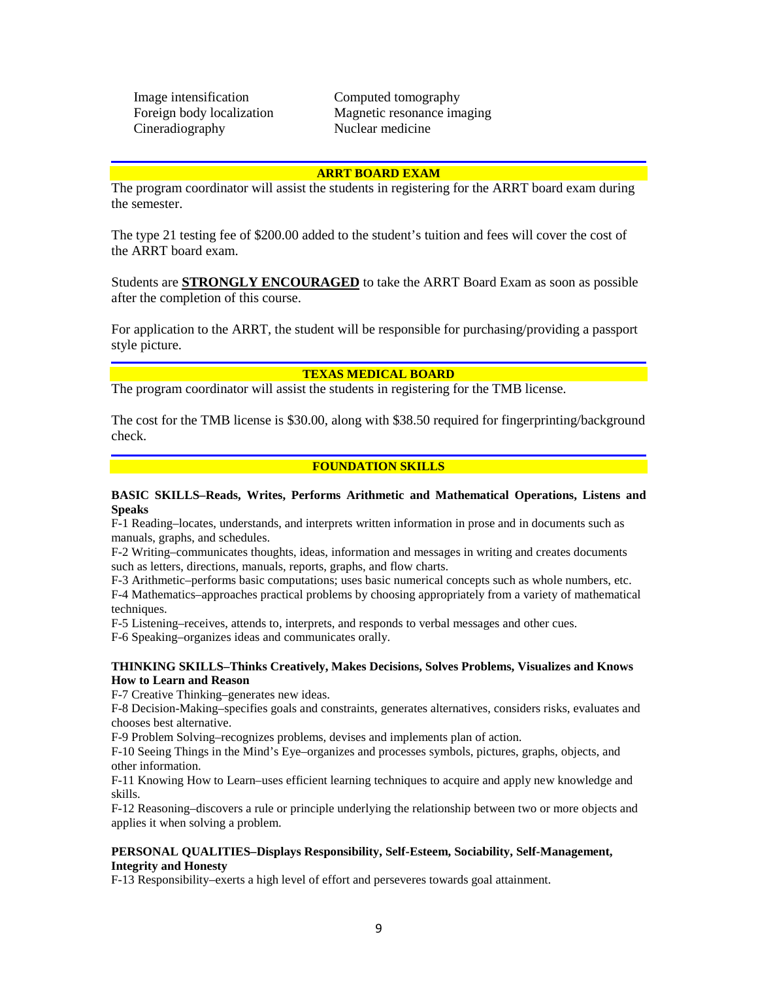Image intensification Computed tomography Cineradiography Nuclear medicine

Foreign body localization Magnetic resonance imaging

#### **ARRT BOARD EXAM**

The program coordinator will assist the students in registering for the ARRT board exam during the semester.

The type 21 testing fee of \$200.00 added to the student's tuition and fees will cover the cost of the ARRT board exam.

Students are **STRONGLY ENCOURAGED** to take the ARRT Board Exam as soon as possible after the completion of this course.

For application to the ARRT, the student will be responsible for purchasing/providing a passport style picture.

#### **TEXAS MEDICAL BOARD**

The program coordinator will assist the students in registering for the TMB license.

The cost for the TMB license is \$30.00, along with \$38.50 required for fingerprinting/background check.

### **FOUNDATION SKILLS**

#### **BASIC SKILLS–Reads, Writes, Performs Arithmetic and Mathematical Operations, Listens and Speaks**

F-1 Reading–locates, understands, and interprets written information in prose and in documents such as manuals, graphs, and schedules.

F-2 Writing–communicates thoughts, ideas, information and messages in writing and creates documents such as letters, directions, manuals, reports, graphs, and flow charts.

F-3 Arithmetic–performs basic computations; uses basic numerical concepts such as whole numbers, etc.

F-4 Mathematics–approaches practical problems by choosing appropriately from a variety of mathematical techniques.

F-5 Listening–receives, attends to, interprets, and responds to verbal messages and other cues.

F-6 Speaking–organizes ideas and communicates orally.

### **THINKING SKILLS–Thinks Creatively, Makes Decisions, Solves Problems, Visualizes and Knows How to Learn and Reason**

F-7 Creative Thinking–generates new ideas.

F-8 Decision-Making–specifies goals and constraints, generates alternatives, considers risks, evaluates and chooses best alternative.

F-9 Problem Solving–recognizes problems, devises and implements plan of action.

F-10 Seeing Things in the Mind's Eye–organizes and processes symbols, pictures, graphs, objects, and other information.

F-11 Knowing How to Learn–uses efficient learning techniques to acquire and apply new knowledge and skills.

F-12 Reasoning–discovers a rule or principle underlying the relationship between two or more objects and applies it when solving a problem.

### **PERSONAL QUALITIES–Displays Responsibility, Self-Esteem, Sociability, Self-Management, Integrity and Honesty**

F-13 Responsibility–exerts a high level of effort and perseveres towards goal attainment.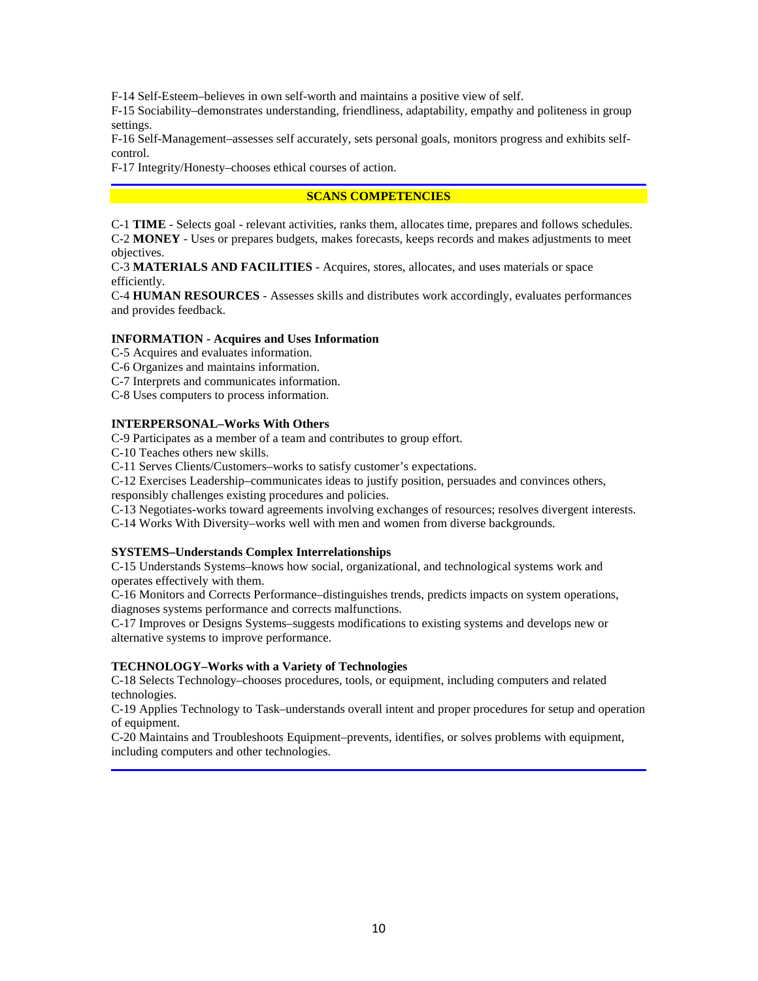F-14 Self-Esteem–believes in own self-worth and maintains a positive view of self.

F-15 Sociability–demonstrates understanding, friendliness, adaptability, empathy and politeness in group settings.

F-16 Self-Management–assesses self accurately, sets personal goals, monitors progress and exhibits selfcontrol.

F-17 Integrity/Honesty–chooses ethical courses of action.

## **SCANS COMPETENCIES**

C-1 **TIME** - Selects goal - relevant activities, ranks them, allocates time, prepares and follows schedules. C-2 **MONEY** - Uses or prepares budgets, makes forecasts, keeps records and makes adjustments to meet objectives.

C-3 **MATERIALS AND FACILITIES** - Acquires, stores, allocates, and uses materials or space efficiently.

C-4 **HUMAN RESOURCES** - Assesses skills and distributes work accordingly, evaluates performances and provides feedback.

### **INFORMATION - Acquires and Uses Information**

C-5 Acquires and evaluates information.

C-6 Organizes and maintains information.

C-7 Interprets and communicates information.

C-8 Uses computers to process information.

## **INTERPERSONAL–Works With Others**

C-9 Participates as a member of a team and contributes to group effort.

C-10 Teaches others new skills.

C-11 Serves Clients/Customers–works to satisfy customer's expectations.

C-12 Exercises Leadership–communicates ideas to justify position, persuades and convinces others, responsibly challenges existing procedures and policies.

C-13 Negotiates-works toward agreements involving exchanges of resources; resolves divergent interests.

C-14 Works With Diversity–works well with men and women from diverse backgrounds.

## **SYSTEMS–Understands Complex Interrelationships**

C-15 Understands Systems–knows how social, organizational, and technological systems work and operates effectively with them.

C-16 Monitors and Corrects Performance–distinguishes trends, predicts impacts on system operations, diagnoses systems performance and corrects malfunctions.

C-17 Improves or Designs Systems–suggests modifications to existing systems and develops new or alternative systems to improve performance.

#### **TECHNOLOGY–Works with a Variety of Technologies**

C-18 Selects Technology–chooses procedures, tools, or equipment, including computers and related technologies.

C-19 Applies Technology to Task–understands overall intent and proper procedures for setup and operation of equipment.

C-20 Maintains and Troubleshoots Equipment–prevents, identifies, or solves problems with equipment, including computers and other technologies.